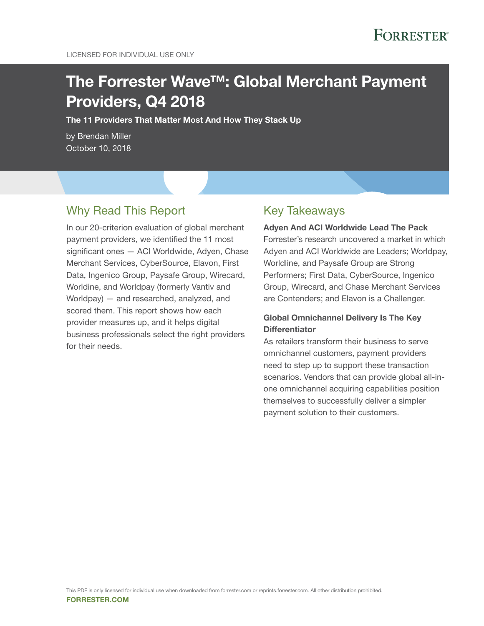# The Forrester Wave™: Global Merchant Payment Providers, Q4 2018

The 11 Providers That Matter Most And How They Stack Up

by Brendan Miller October 10, 2018

# Why Read This Report

In our 20-criterion evaluation of global merchant payment providers, we identified the 11 most significant ones — ACI Worldwide, Adyen, Chase Merchant Services, CyberSource, Elavon, First Data, Ingenico Group, Paysafe Group, Wirecard, Worldine, and Worldpay (formerly Vantiv and Worldpay) — and researched, analyzed, and scored them. This report shows how each provider measures up, and it helps digital business professionals select the right providers for their needs.

# Key Takeaways

#### Adyen And ACI Worldwide Lead The Pack

Forrester's research uncovered a market in which Adyen and ACI Worldwide are Leaders; Worldpay, Worldline, and Paysafe Group are Strong Performers; First Data, CyberSource, Ingenico Group, Wirecard, and Chase Merchant Services are Contenders; and Elavon is a Challenger.

## Global Omnichannel Delivery Is The Key **Differentiator**

As retailers transform their business to serve omnichannel customers, payment providers need to step up to support these transaction scenarios. Vendors that can provide global all-inone omnichannel acquiring capabilities position themselves to successfully deliver a simpler payment solution to their customers.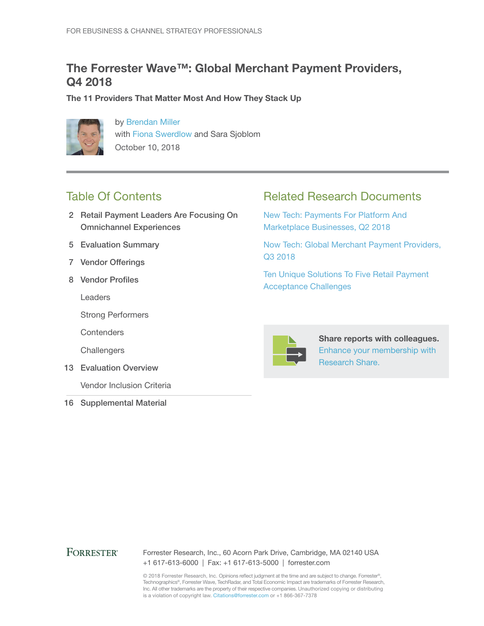# The Forrester Wave™: Global Merchant Payment Providers, Q4 2018

The 11 Providers That Matter Most And How They Stack Up



by [Brendan Miller](http://www.forrester.com/go?objectid=BIO10224) with [Fiona Swerdlow](http://www.forrester.com/go?objectid=BIO10344) and Sara Sjoblom October 10, 2018

# Table Of Contents

- 2 Retail Payment Leaders Are Focusing On Omnichannel Experiences
- 5 Evaluation Summary
- 7 Vendor Offerings
- 8 Vendor Profiles

Leaders

Strong Performers

**Contenders** 

**Challengers** 

13 Evaluation Overview

Vendor Inclusion Criteria

16 Supplemental Material

# Related Research Documents

[New Tech: Payments For Platform And](http://www.forrester.com/go?objectid=RES142233)  [Marketplace Businesses, Q2 2018](http://www.forrester.com/go?objectid=RES142233)

[Now Tech: Global Merchant Payment Providers,](http://www.forrester.com/go?objectid=RES142654)  [Q3 2018](http://www.forrester.com/go?objectid=RES142654)

[Ten Unique Solutions To Five Retail Payment](http://www.forrester.com/go?objectid=RES135991)  [Acceptance Challenges](http://www.forrester.com/go?objectid=RES135991)



Share reports with colleagues. [Enhance your membership with](https://go.forrester.com/research/research-share/?utm_source=forrester_com&utm_medium=banner&utm_content=featured&utm_campaign=research_share)  [Research Share.](https://go.forrester.com/research/research-share/?utm_source=forrester_com&utm_medium=banner&utm_content=featured&utm_campaign=research_share)

## **FORRESTER®**

Forrester Research, Inc., 60 Acorn Park Drive, Cambridge, MA 02140 USA +1 617-613-6000 | Fax: +1 617-613-5000 | forrester.com

© 2018 Forrester Research, Inc. Opinions reflect judgment at the time and are subject to change. Forrester®, Technographics®, Forrester Wave, TechRadar, and Total Economic Impact are trademarks of Forrester Research, Inc. All other trademarks are the property of their respective companies. Unauthorized copying or distributing is a violation of copyright law. Citations@forrester.com or +1 866-367-7378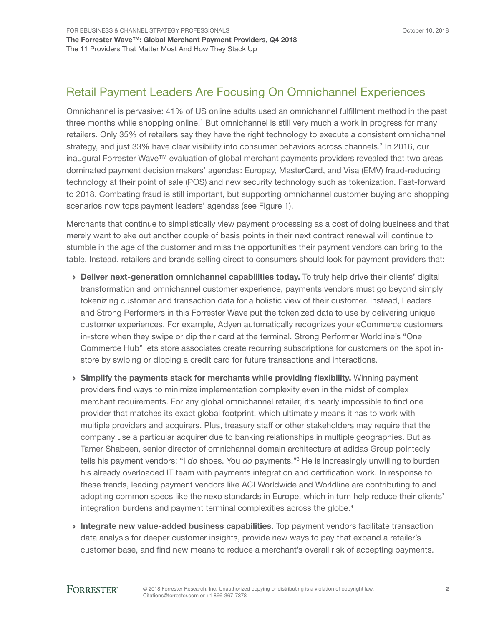# Retail Payment Leaders Are Focusing On Omnichannel Experiences

Omnichannel is pervasive: 41% of US online adults used an omnichannel fulfillment method in the past three months while shopping online.<sup>1</sup> But omnichannel is still very much a work in progress for many retailers. Only 35% of retailers say they have the right technology to execute a consistent omnichannel strategy, and just 33% have clear visibility into consumer behaviors across channels.<sup>2</sup> In 2016, our inaugural Forrester Wave™ evaluation of global merchant payments providers revealed that two areas dominated payment decision makers' agendas: Europay, MasterCard, and Visa (EMV) fraud-reducing technology at their point of sale (POS) and new security technology such as tokenization. Fast-forward to 2018. Combating fraud is still important, but supporting omnichannel customer buying and shopping scenarios now tops payment leaders' agendas (see Figure 1).

Merchants that continue to simplistically view payment processing as a cost of doing business and that merely want to eke out another couple of basis points in their next contract renewal will continue to stumble in the age of the customer and miss the opportunities their payment vendors can bring to the table. Instead, retailers and brands selling direct to consumers should look for payment providers that:

- › Deliver next-generation omnichannel capabilities today. To truly help drive their clients' digital transformation and omnichannel customer experience, payments vendors must go beyond simply tokenizing customer and transaction data for a holistic view of their customer. Instead, Leaders and Strong Performers in this Forrester Wave put the tokenized data to use by delivering unique customer experiences. For example, Adyen automatically recognizes your eCommerce customers in-store when they swipe or dip their card at the terminal. Strong Performer Worldline's "One Commerce Hub" lets store associates create recurring subscriptions for customers on the spot instore by swiping or dipping a credit card for future transactions and interactions.
- › Simplify the payments stack for merchants while providing flexibility. Winning payment providers find ways to minimize implementation complexity even in the midst of complex merchant requirements. For any global omnichannel retailer, it's nearly impossible to find one provider that matches its exact global footprint, which ultimately means it has to work with multiple providers and acquirers. Plus, treasury staff or other stakeholders may require that the company use a particular acquirer due to banking relationships in multiple geographies. But as Tamer Shabeen, senior director of omnichannel domain architecture at adidas Group pointedly tells his payment vendors: "I *do* shoes. You *do* payments."<sup>3</sup> He is increasingly unwilling to burden his already overloaded IT team with payments integration and certification work. In response to these trends, leading payment vendors like ACI Worldwide and Worldline are contributing to and adopting common specs like the nexo standards in Europe, which in turn help reduce their clients' integration burdens and payment terminal complexities across the globe.<sup>4</sup>
- Integrate new value-added business capabilities. Top payment vendors facilitate transaction data analysis for deeper customer insights, provide new ways to pay that expand a retailer's customer base, and find new means to reduce a merchant's overall risk of accepting payments.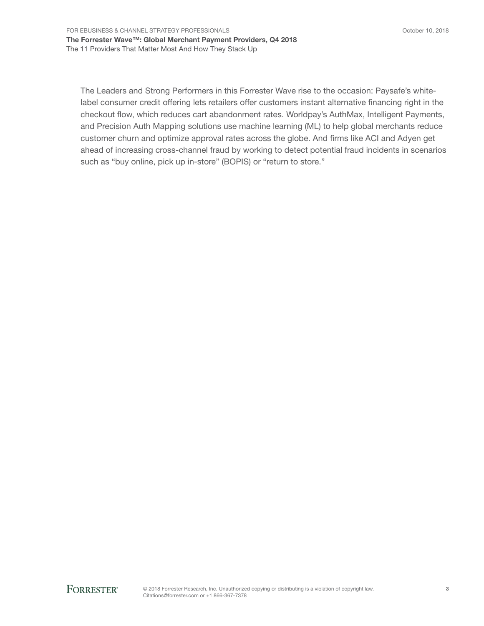The Leaders and Strong Performers in this Forrester Wave rise to the occasion: Paysafe's whitelabel consumer credit offering lets retailers offer customers instant alternative financing right in the checkout flow, which reduces cart abandonment rates. Worldpay's AuthMax, Intelligent Payments, and Precision Auth Mapping solutions use machine learning (ML) to help global merchants reduce customer churn and optimize approval rates across the globe. And firms like ACI and Adyen get ahead of increasing cross-channel fraud by working to detect potential fraud incidents in scenarios such as "buy online, pick up in-store" (BOPIS) or "return to store."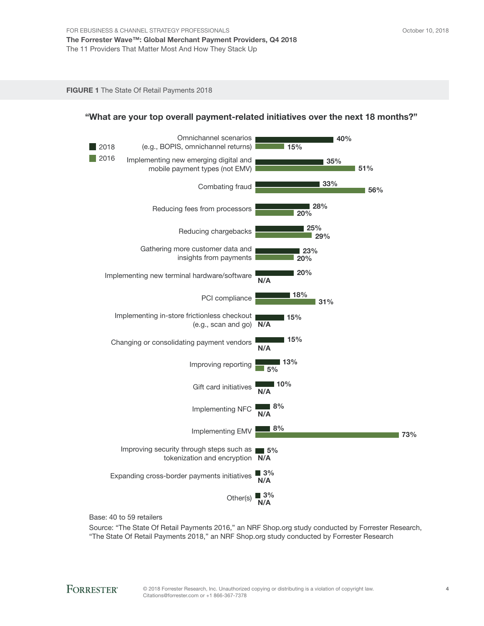FIGURE 1 The State Of Retail Payments 2018



### "What are your top overall payment-related initiatives over the next 18 months?"

Base: 40 to 59 retailers

Source: "The State Of Retail Payments 2016," an NRF Shop.org study conducted by Forrester Research, "The State Of Retail Payments 2018," an NRF Shop.org study conducted by Forrester Research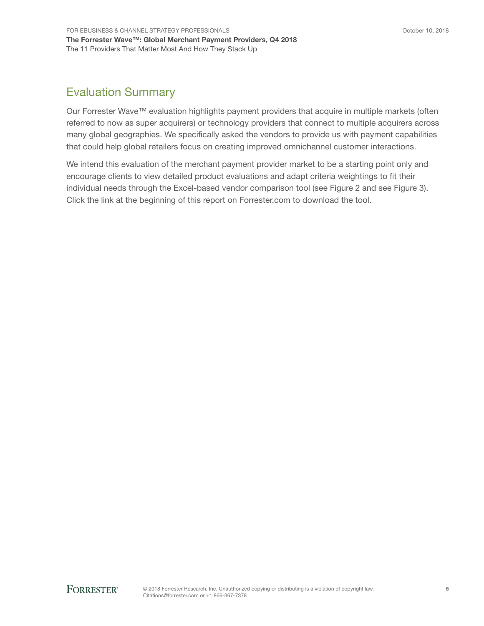# Evaluation Summary

Our Forrester Wave™ evaluation highlights payment providers that acquire in multiple markets (often referred to now as super acquirers) or technology providers that connect to multiple acquirers across many global geographies. We specifically asked the vendors to provide us with payment capabilities that could help global retailers focus on creating improved omnichannel customer interactions.

We intend this evaluation of the merchant payment provider market to be a starting point only and encourage clients to view detailed product evaluations and adapt criteria weightings to fit their individual needs through the Excel-based vendor comparison tool (see Figure 2 and see Figure 3). Click the link at the beginning of this report on Forrester.com to download the tool.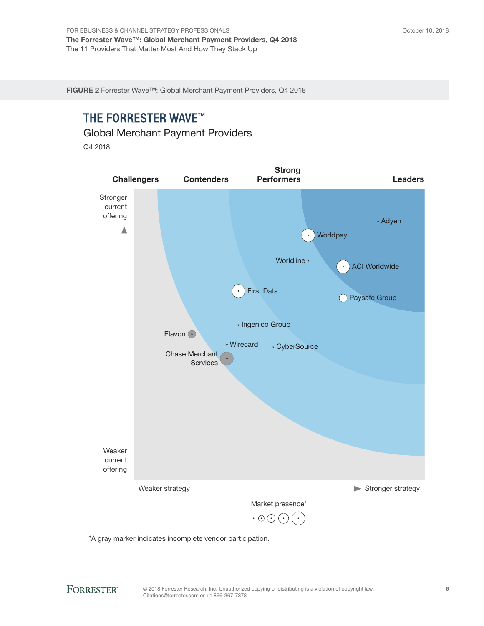FIGURE 2 Forrester Wave™: Global Merchant Payment Providers, Q4 2018

# THE FORRESTER WAVE™

Global Merchant Payment Providers

Q4 2018



\*A gray marker indicates incomplete vendor participation.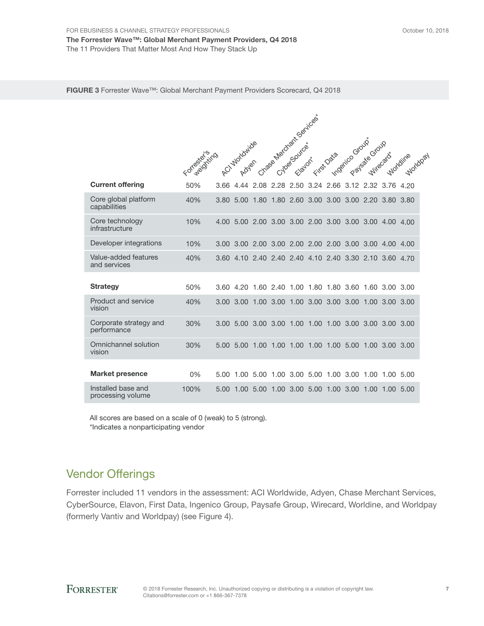|                                         | Formalisting |           | ACI Worldwide |                                                        | Chase Merchant Senices | Elayon |      | Irst Data |           | Intogrico Grazge Grazg |           |      |
|-----------------------------------------|--------------|-----------|---------------|--------------------------------------------------------|------------------------|--------|------|-----------|-----------|------------------------|-----------|------|
| <b>Current offering</b>                 | 50%          | 3.66      |               | 4.44 2.08 2.28 2.50 3.24 2.66 3.12 2.32 3.76           |                        |        |      |           |           |                        |           | 4.20 |
| Core global platform<br>capabilities    | 40%          | 3.80 5.00 |               | 1.80 1.80 2.60 3.00 3.00 3.00 2.20 3.80 3.80           |                        |        |      |           |           |                        |           |      |
| Core technology<br>infrastructure       | 10%          |           |               | 4.00 5.00 2.00 3.00 3.00 2.00 3.00 3.00 3.00 4.00 4.00 |                        |        |      |           |           |                        |           |      |
| Developer integrations                  | 10%          |           |               |                                                        |                        |        |      |           |           |                        |           |      |
| Value-added features<br>and services    | 40%          |           |               | 3.60 4.10 2.40 2.40 2.40 4.10 2.40 3.30 2.10 3.60 4.70 |                        |        |      |           |           |                        |           |      |
| <b>Strategy</b>                         | 50%          |           |               | 3.60 4.20 1.60 2.40 1.00 1.80 1.80 3.60 1.60 3.00 3.00 |                        |        |      |           |           |                        |           |      |
| Product and service<br>vision           | 40%          |           |               | 3.00 3.00 1.00 3.00 1.00 3.00 3.00 3.00                |                        |        |      |           |           | 1.00 3.00 3.00         |           |      |
| Corporate strategy and<br>performance   | 30%          |           |               |                                                        |                        |        |      |           |           |                        |           |      |
| Omnichannel solution<br>vision          | 30%          | 5.00 5.00 |               | 1.00 1.00 1.00 1.00 1.00 5.00 1.00 3.00 3.00           |                        |        |      |           |           |                        |           |      |
| <b>Market presence</b>                  | $0\%$        |           |               | 5.00 1.00 5.00 1.00 3.00 5.00 1.00 3.00                |                        |        |      |           |           | 1.00                   | 1.00 5.00 |      |
| Installed base and<br>processing volume | 100%         | 5.00      | 1.00          | 5.00                                                   | 1.00                   | 3.00   | 5.00 |           | 1.00 3.00 | 1.00                   | 1.00      | 5.00 |

All scores are based on a scale of 0 (weak) to 5 (strong). \*Indicates a nonparticipating vendor

# Vendor Offerings

Forrester included 11 vendors in the assessment: ACI Worldwide, Adyen, Chase Merchant Services, CyberSource, Elavon, First Data, Ingenico Group, Paysafe Group, Wirecard, Worldine, and Worldpay (formerly Vantiv and Worldpay) (see Figure 4).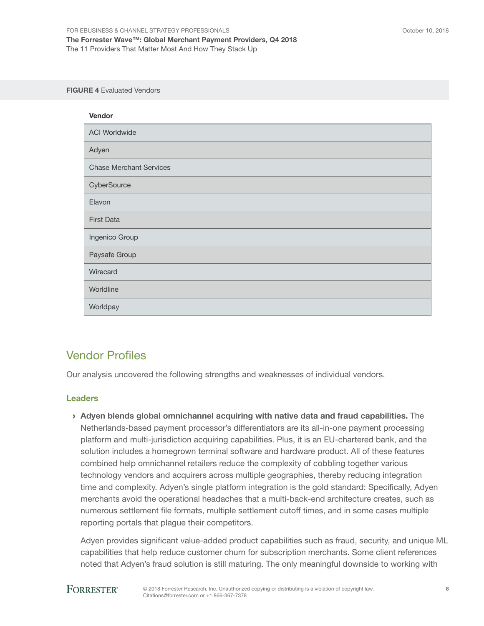#### FIGURE 4 Evaluated Vendors

| Vendor                         |
|--------------------------------|
| <b>ACI Worldwide</b>           |
| Adyen                          |
| <b>Chase Merchant Services</b> |
| CyberSource                    |
| Elavon                         |
| <b>First Data</b>              |
| Ingenico Group                 |
| Paysafe Group                  |
| Wirecard                       |
| Worldline                      |
| Worldpay                       |

# Vendor Profiles

Our analysis uncovered the following strengths and weaknesses of individual vendors.

## Leaders

› Adyen blends global omnichannel acquiring with native data and fraud capabilities. The Netherlands-based payment processor's differentiators are its all-in-one payment processing platform and multi-jurisdiction acquiring capabilities. Plus, it is an EU-chartered bank, and the solution includes a homegrown terminal software and hardware product. All of these features combined help omnichannel retailers reduce the complexity of cobbling together various technology vendors and acquirers across multiple geographies, thereby reducing integration time and complexity. Adyen's single platform integration is the gold standard: Specifically, Adyen merchants avoid the operational headaches that a multi-back-end architecture creates, such as numerous settlement file formats, multiple settlement cutoff times, and in some cases multiple reporting portals that plague their competitors.

Adyen provides significant value-added product capabilities such as fraud, security, and unique ML capabilities that help reduce customer churn for subscription merchants. Some client references noted that Adyen's fraud solution is still maturing. The only meaningful downside to working with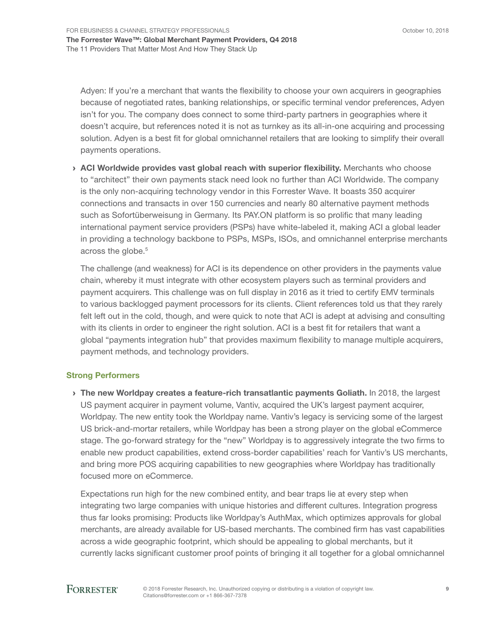Adyen: If you're a merchant that wants the flexibility to choose your own acquirers in geographies because of negotiated rates, banking relationships, or specific terminal vendor preferences, Adyen isn't for you. The company does connect to some third-party partners in geographies where it doesn't acquire, but references noted it is not as turnkey as its all-in-one acquiring and processing solution. Adyen is a best fit for global omnichannel retailers that are looking to simplify their overall payments operations.

› ACI Worldwide provides vast global reach with superior flexibility. Merchants who choose to "architect" their own payments stack need look no further than ACI Worldwide. The company is the only non-acquiring technology vendor in this Forrester Wave. It boasts 350 acquirer connections and transacts in over 150 currencies and nearly 80 alternative payment methods such as Sofortüberweisung in Germany. Its PAY.ON platform is so prolific that many leading international payment service providers (PSPs) have white-labeled it, making ACI a global leader in providing a technology backbone to PSPs, MSPs, ISOs, and omnichannel enterprise merchants across the globe.<sup>5</sup>

The challenge (and weakness) for ACI is its dependence on other providers in the payments value chain, whereby it must integrate with other ecosystem players such as terminal providers and payment acquirers. This challenge was on full display in 2016 as it tried to certify EMV terminals to various backlogged payment processors for its clients. Client references told us that they rarely felt left out in the cold, though, and were quick to note that ACI is adept at advising and consulting with its clients in order to engineer the right solution. ACI is a best fit for retailers that want a global "payments integration hub" that provides maximum flexibility to manage multiple acquirers, payment methods, and technology providers.

#### Strong Performers

› The new Worldpay creates a feature-rich transatlantic payments Goliath. In 2018, the largest US payment acquirer in payment volume, Vantiv, acquired the UK's largest payment acquirer, Worldpay. The new entity took the Worldpay name. Vantiv's legacy is servicing some of the largest US brick-and-mortar retailers, while Worldpay has been a strong player on the global eCommerce stage. The go-forward strategy for the "new" Worldpay is to aggressively integrate the two firms to enable new product capabilities, extend cross-border capabilities' reach for Vantiv's US merchants, and bring more POS acquiring capabilities to new geographies where Worldpay has traditionally focused more on eCommerce.

Expectations run high for the new combined entity, and bear traps lie at every step when integrating two large companies with unique histories and different cultures. Integration progress thus far looks promising: Products like Worldpay's AuthMax, which optimizes approvals for global merchants, are already available for US-based merchants. The combined firm has vast capabilities across a wide geographic footprint, which should be appealing to global merchants, but it currently lacks significant customer proof points of bringing it all together for a global omnichannel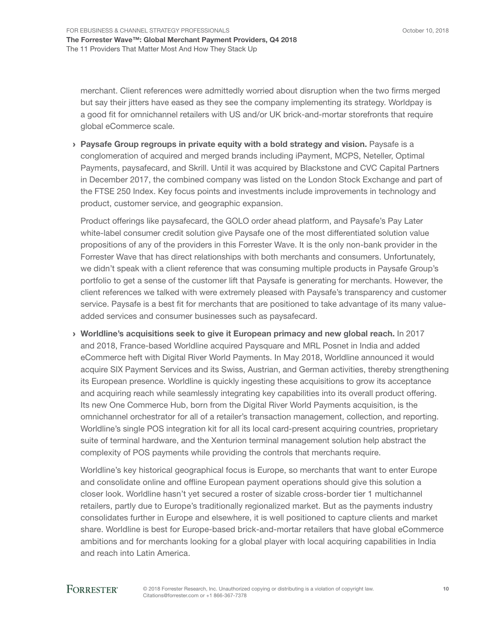merchant. Client references were admittedly worried about disruption when the two firms merged but say their jitters have eased as they see the company implementing its strategy. Worldpay is a good fit for omnichannel retailers with US and/or UK brick-and-mortar storefronts that require global eCommerce scale.

› Paysafe Group regroups in private equity with a bold strategy and vision. Paysafe is a conglomeration of acquired and merged brands including iPayment, MCPS, Neteller, Optimal Payments, paysafecard, and Skrill. Until it was acquired by Blackstone and CVC Capital Partners in December 2017, the combined company was listed on the London Stock Exchange and part of the FTSE 250 Index. Key focus points and investments include improvements in technology and product, customer service, and geographic expansion.

Product offerings like paysafecard, the GOLO order ahead platform, and Paysafe's Pay Later white-label consumer credit solution give Paysafe one of the most differentiated solution value propositions of any of the providers in this Forrester Wave. It is the only non-bank provider in the Forrester Wave that has direct relationships with both merchants and consumers. Unfortunately, we didn't speak with a client reference that was consuming multiple products in Paysafe Group's portfolio to get a sense of the customer lift that Paysafe is generating for merchants. However, the client references we talked with were extremely pleased with Paysafe's transparency and customer service. Paysafe is a best fit for merchants that are positioned to take advantage of its many valueadded services and consumer businesses such as paysafecard.

› Worldline's acquisitions seek to give it European primacy and new global reach. In 2017 and 2018, France-based Worldline acquired Paysquare and MRL Posnet in India and added eCommerce heft with Digital River World Payments. In May 2018, Worldline announced it would acquire SIX Payment Services and its Swiss, Austrian, and German activities, thereby strengthening its European presence. Worldline is quickly ingesting these acquisitions to grow its acceptance and acquiring reach while seamlessly integrating key capabilities into its overall product offering. Its new One Commerce Hub, born from the Digital River World Payments acquisition, is the omnichannel orchestrator for all of a retailer's transaction management, collection, and reporting. Worldline's single POS integration kit for all its local card-present acquiring countries, proprietary suite of terminal hardware, and the Xenturion terminal management solution help abstract the complexity of POS payments while providing the controls that merchants require.

Worldline's key historical geographical focus is Europe, so merchants that want to enter Europe and consolidate online and offline European payment operations should give this solution a closer look. Worldline hasn't yet secured a roster of sizable cross-border tier 1 multichannel retailers, partly due to Europe's traditionally regionalized market. But as the payments industry consolidates further in Europe and elsewhere, it is well positioned to capture clients and market share. Worldline is best for Europe-based brick-and-mortar retailers that have global eCommerce ambitions and for merchants looking for a global player with local acquiring capabilities in India and reach into Latin America.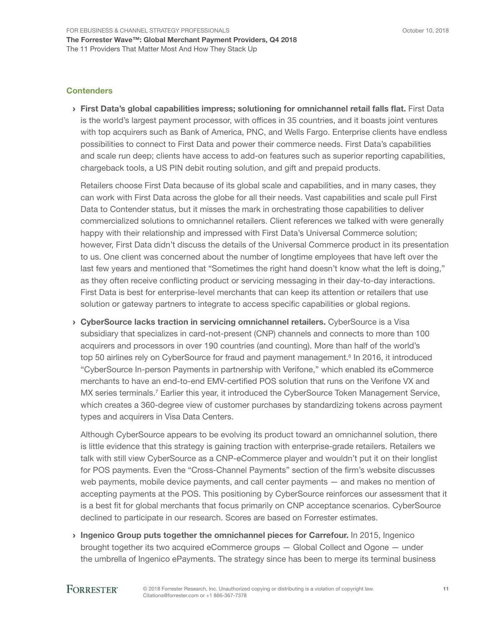#### **Contenders**

› First Data's global capabilities impress; solutioning for omnichannel retail falls flat. First Data is the world's largest payment processor, with offices in 35 countries, and it boasts joint ventures with top acquirers such as Bank of America, PNC, and Wells Fargo. Enterprise clients have endless possibilities to connect to First Data and power their commerce needs. First Data's capabilities and scale run deep; clients have access to add-on features such as superior reporting capabilities, chargeback tools, a US PIN debit routing solution, and gift and prepaid products.

Retailers choose First Data because of its global scale and capabilities, and in many cases, they can work with First Data across the globe for all their needs. Vast capabilities and scale pull First Data to Contender status, but it misses the mark in orchestrating those capabilities to deliver commercialized solutions to omnichannel retailers. Client references we talked with were generally happy with their relationship and impressed with First Data's Universal Commerce solution; however, First Data didn't discuss the details of the Universal Commerce product in its presentation to us. One client was concerned about the number of longtime employees that have left over the last few years and mentioned that "Sometimes the right hand doesn't know what the left is doing," as they often receive conflicting product or servicing messaging in their day-to-day interactions. First Data is best for enterprise-level merchants that can keep its attention or retailers that use solution or gateway partners to integrate to access specific capabilities or global regions.

**> CyberSource lacks traction in servicing omnichannel retailers.** CyberSource is a Visa subsidiary that specializes in card-not-present (CNP) channels and connects to more than 100 acquirers and processors in over 190 countries (and counting). More than half of the world's top 50 airlines rely on CyberSource for fraud and payment management.<sup>6</sup> In 2016, it introduced "CyberSource In-person Payments in partnership with Verifone," which enabled its eCommerce merchants to have an end-to-end EMV-certified POS solution that runs on the Verifone VX and MX series terminals.<sup>7</sup> Earlier this year, it introduced the CyberSource Token Management Service, which creates a 360-degree view of customer purchases by standardizing tokens across payment types and acquirers in Visa Data Centers.

Although CyberSource appears to be evolving its product toward an omnichannel solution, there is little evidence that this strategy is gaining traction with enterprise-grade retailers. Retailers we talk with still view CyberSource as a CNP-eCommerce player and wouldn't put it on their longlist for POS payments. Even the "Cross-Channel Payments" section of the firm's website discusses web payments, mobile device payments, and call center payments — and makes no mention of accepting payments at the POS. This positioning by CyberSource reinforces our assessment that it is a best fit for global merchants that focus primarily on CNP acceptance scenarios. CyberSource declined to participate in our research. Scores are based on Forrester estimates.

› Ingenico Group puts together the omnichannel pieces for Carrefour. In 2015, Ingenico brought together its two acquired eCommerce groups — Global Collect and Ogone — under the umbrella of Ingenico ePayments. The strategy since has been to merge its terminal business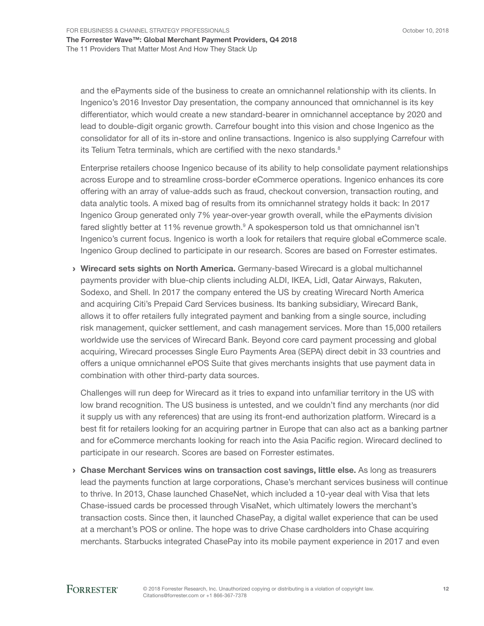and the ePayments side of the business to create an omnichannel relationship with its clients. In Ingenico's 2016 Investor Day presentation, the company announced that omnichannel is its key differentiator, which would create a new standard-bearer in omnichannel acceptance by 2020 and lead to double-digit organic growth. Carrefour bought into this vision and chose Ingenico as the consolidator for all of its in-store and online transactions. Ingenico is also supplying Carrefour with its Telium Tetra terminals, which are certified with the nexo standards.<sup>8</sup>

Enterprise retailers choose Ingenico because of its ability to help consolidate payment relationships across Europe and to streamline cross-border eCommerce operations. Ingenico enhances its core offering with an array of value-adds such as fraud, checkout conversion, transaction routing, and data analytic tools. A mixed bag of results from its omnichannel strategy holds it back: In 2017 Ingenico Group generated only 7% year-over-year growth overall, while the ePayments division fared slightly better at 11% revenue growth.<sup>9</sup> A spokesperson told us that omnichannel isn't Ingenico's current focus. Ingenico is worth a look for retailers that require global eCommerce scale. Ingenico Group declined to participate in our research. Scores are based on Forrester estimates.

› Wirecard sets sights on North America. Germany-based Wirecard is a global multichannel payments provider with blue-chip clients including ALDI, IKEA, Lidl, Qatar Airways, Rakuten, Sodexo, and Shell. In 2017 the company entered the US by creating Wirecard North America and acquiring Citi's Prepaid Card Services business. Its banking subsidiary, Wirecard Bank, allows it to offer retailers fully integrated payment and banking from a single source, including risk management, quicker settlement, and cash management services. More than 15,000 retailers worldwide use the services of Wirecard Bank. Beyond core card payment processing and global acquiring, Wirecard processes Single Euro Payments Area (SEPA) direct debit in 33 countries and offers a unique omnichannel ePOS Suite that gives merchants insights that use payment data in combination with other third-party data sources.

Challenges will run deep for Wirecard as it tries to expand into unfamiliar territory in the US with low brand recognition. The US business is untested, and we couldn't find any merchants (nor did it supply us with any references) that are using its front-end authorization platform. Wirecard is a best fit for retailers looking for an acquiring partner in Europe that can also act as a banking partner and for eCommerce merchants looking for reach into the Asia Pacific region. Wirecard declined to participate in our research. Scores are based on Forrester estimates.

› Chase Merchant Services wins on transaction cost savings, little else. As long as treasurers lead the payments function at large corporations, Chase's merchant services business will continue to thrive. In 2013, Chase launched ChaseNet, which included a 10-year deal with Visa that lets Chase-issued cards be processed through VisaNet, which ultimately lowers the merchant's transaction costs. Since then, it launched ChasePay, a digital wallet experience that can be used at a merchant's POS or online. The hope was to drive Chase cardholders into Chase acquiring merchants. Starbucks integrated ChasePay into its mobile payment experience in 2017 and even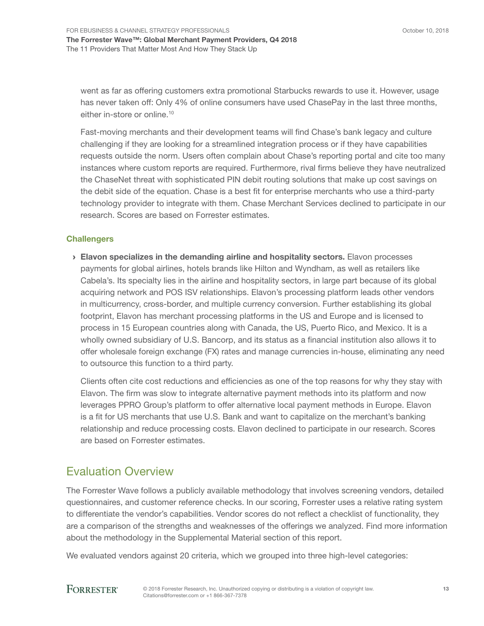went as far as offering customers extra promotional Starbucks rewards to use it. However, usage has never taken off: Only 4% of online consumers have used ChasePay in the last three months, either in-store or online.<sup>10</sup>

Fast-moving merchants and their development teams will find Chase's bank legacy and culture challenging if they are looking for a streamlined integration process or if they have capabilities requests outside the norm. Users often complain about Chase's reporting portal and cite too many instances where custom reports are required. Furthermore, rival firms believe they have neutralized the ChaseNet threat with sophisticated PIN debit routing solutions that make up cost savings on the debit side of the equation. Chase is a best fit for enterprise merchants who use a third-party technology provider to integrate with them. Chase Merchant Services declined to participate in our research. Scores are based on Forrester estimates.

#### **Challengers**

› Elavon specializes in the demanding airline and hospitality sectors. Elavon processes payments for global airlines, hotels brands like Hilton and Wyndham, as well as retailers like Cabela's. Its specialty lies in the airline and hospitality sectors, in large part because of its global acquiring network and POS ISV relationships. Elavon's processing platform leads other vendors in multicurrency, cross-border, and multiple currency conversion. Further establishing its global footprint, Elavon has merchant processing platforms in the US and Europe and is licensed to process in 15 European countries along with Canada, the US, Puerto Rico, and Mexico. It is a wholly owned subsidiary of U.S. Bancorp, and its status as a financial institution also allows it to offer wholesale foreign exchange (FX) rates and manage currencies in-house, eliminating any need to outsource this function to a third party.

Clients often cite cost reductions and efficiencies as one of the top reasons for why they stay with Elavon. The firm was slow to integrate alternative payment methods into its platform and now leverages PPRO Group's platform to offer alternative local payment methods in Europe. Elavon is a fit for US merchants that use U.S. Bank and want to capitalize on the merchant's banking relationship and reduce processing costs. Elavon declined to participate in our research. Scores are based on Forrester estimates.

## Evaluation Overview

The Forrester Wave follows a publicly available methodology that involves screening vendors, detailed questionnaires, and customer reference checks. In our scoring, Forrester uses a relative rating system to differentiate the vendor's capabilities. Vendor scores do not reflect a checklist of functionality, they are a comparison of the strengths and weaknesses of the offerings we analyzed. Find more information about the methodology in the Supplemental Material section of this report.

We evaluated vendors against 20 criteria, which we grouped into three high-level categories: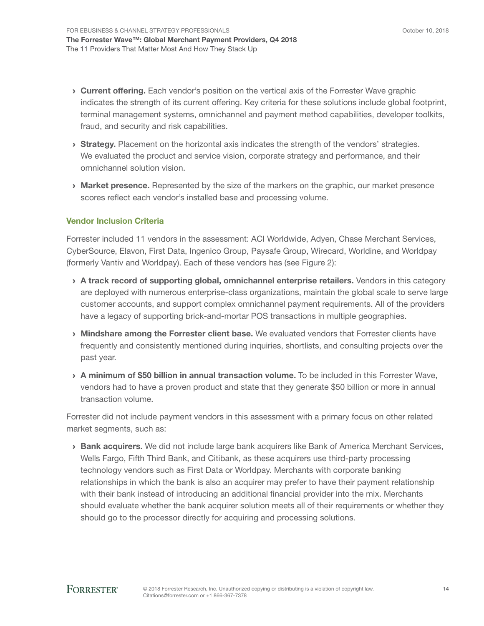- **Current offering.** Each vendor's position on the vertical axis of the Forrester Wave graphic indicates the strength of its current offering. Key criteria for these solutions include global footprint, terminal management systems, omnichannel and payment method capabilities, developer toolkits, fraud, and security and risk capabilities.
- **Strategy.** Placement on the horizontal axis indicates the strength of the vendors' strategies. We evaluated the product and service vision, corporate strategy and performance, and their omnichannel solution vision.
- **Market presence.** Represented by the size of the markers on the graphic, our market presence scores reflect each vendor's installed base and processing volume.

## Vendor Inclusion Criteria

Forrester included 11 vendors in the assessment: ACI Worldwide, Adyen, Chase Merchant Services, CyberSource, Elavon, First Data, Ingenico Group, Paysafe Group, Wirecard, Worldine, and Worldpay (formerly Vantiv and Worldpay). Each of these vendors has (see Figure 2):

- › A track record of supporting global, omnichannel enterprise retailers. Vendors in this category are deployed with numerous enterprise-class organizations, maintain the global scale to serve large customer accounts, and support complex omnichannel payment requirements. All of the providers have a legacy of supporting brick-and-mortar POS transactions in multiple geographies.
- **Mindshare among the Forrester client base.** We evaluated vendors that Forrester clients have frequently and consistently mentioned during inquiries, shortlists, and consulting projects over the past year.
- › A minimum of \$50 billion in annual transaction volume. To be included in this Forrester Wave, vendors had to have a proven product and state that they generate \$50 billion or more in annual transaction volume.

Forrester did not include payment vendors in this assessment with a primary focus on other related market segments, such as:

**Bank acquirers.** We did not include large bank acquirers like Bank of America Merchant Services, Wells Fargo, Fifth Third Bank, and Citibank, as these acquirers use third-party processing technology vendors such as First Data or Worldpay. Merchants with corporate banking relationships in which the bank is also an acquirer may prefer to have their payment relationship with their bank instead of introducing an additional financial provider into the mix. Merchants should evaluate whether the bank acquirer solution meets all of their requirements or whether they should go to the processor directly for acquiring and processing solutions.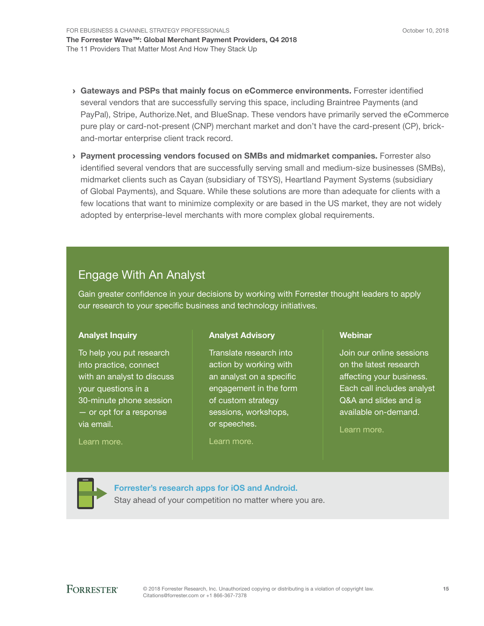- › Gateways and PSPs that mainly focus on eCommerce environments. Forrester identified several vendors that are successfully serving this space, including Braintree Payments (and PayPal), Stripe, Authorize.Net, and BlueSnap. These vendors have primarily served the eCommerce pure play or card-not-present (CNP) merchant market and don't have the card-present (CP), brickand-mortar enterprise client track record.
- › Payment processing vendors focused on SMBs and midmarket companies. Forrester also identified several vendors that are successfully serving small and medium-size businesses (SMBs), midmarket clients such as Cayan (subsidiary of TSYS), Heartland Payment Systems (subsidiary of Global Payments), and Square. While these solutions are more than adequate for clients with a few locations that want to minimize complexity or are based in the US market, they are not widely adopted by enterprise-level merchants with more complex global requirements.

# Engage With An Analyst

Gain greater confidence in your decisions by working with Forrester thought leaders to apply our research to your specific business and technology initiatives.

## Analyst Inquiry

To help you put research into practice, connect with an analyst to discuss your questions in a 30-minute phone session — or opt for a response via email.

## Analyst Advisory

Translate research into action by working with an analyst on a specific engagement in the form of custom strategy sessions, workshops, or speeches.

[Learn more.](http://www.forrester.com/Analyst-Advisory/-/E-MPL172)

## **Webinar**

Join our online sessions on the latest research affecting your business. Each call includes analyst Q&A and slides and is available on-demand.

[Learn more](https://www.forrester.com/events?N=10006+5025).

[Learn more.](http://forr.com/1einFan)

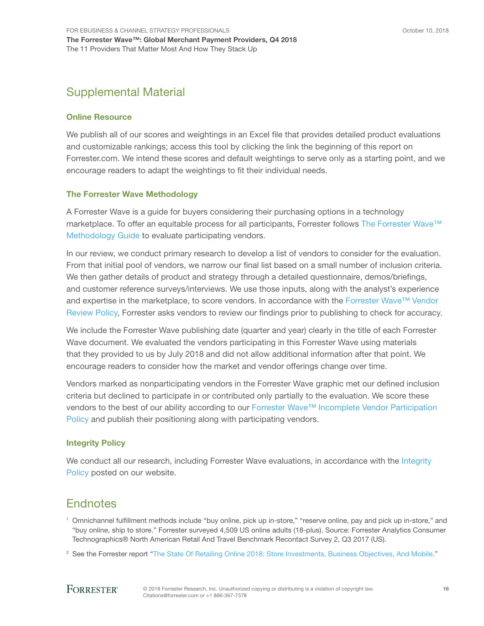# Supplemental Material

### Online Resource

We publish all of our scores and weightings in an Excel file that provides detailed product evaluations and customizable rankings; access this tool by clicking the link the beginning of this report on Forrester.com. We intend these scores and default weightings to serve only as a starting point, and we encourage readers to adapt the weightings to fit their individual needs.

#### The Forrester Wave Methodology

A Forrester Wave is a guide for buyers considering their purchasing options in a technology marketplace. To offer an equitable process for all participants, Forrester follows The Forrester Wave™ [Methodology Guide](https://www.forrester.com/marketing/policies/forrester-wave-methodology.html) to evaluate participating vendors.

In our review, we conduct primary research to develop a list of vendors to consider for the evaluation. From that initial pool of vendors, we narrow our final list based on a small number of inclusion criteria. We then gather details of product and strategy through a detailed questionnaire, demos/briefings, and customer reference surveys/interviews. We use those inputs, along with the analyst's experience and expertise in the marketplace, to score vendors. In accordance with the [Forrester Wave™ Vendor](https://www.forrester.com/marketing/policies/wave-vendor-review-policy.html)  [Review Policy,](https://www.forrester.com/marketing/policies/wave-vendor-review-policy.html) Forrester asks vendors to review our findings prior to publishing to check for accuracy.

We include the Forrester Wave publishing date (quarter and year) clearly in the title of each Forrester Wave document. We evaluated the vendors participating in this Forrester Wave using materials that they provided to us by July 2018 and did not allow additional information after that point. We encourage readers to consider how the market and vendor offerings change over time.

Vendors marked as nonparticipating vendors in the Forrester Wave graphic met our defined inclusion criteria but declined to participate in or contributed only partially to the evaluation. We score these vendors to the best of our ability according to our [Forrester Wave™ Incomplete Vendor Participation](https://www.forrester.com/marketing/policies/wave-vendor-nonparticipation-policy.html)  [Policy](https://www.forrester.com/marketing/policies/wave-vendor-nonparticipation-policy.html) and publish their positioning along with participating vendors.

#### Integrity Policy

We conduct all our research, including Forrester Wave evaluations, in accordance with the Integrity [Policy](http://www.forrester.com/marketing/policies/integrity-policy.html) posted on our website.

# **Endnotes**

<sup>1</sup> Omnichannel fulfillment methods include "buy online, pick up in-store," "reserve online, pay and pick up in-store," and "buy online, ship to store." Forrester surveyed 4,509 US online adults (18-plus). Source: Forrester Analytics Consumer Technographics® North American Retail And Travel Benchmark Recontact Survey 2, Q3 2017 (US).

2 See the Forrester report "[The State Of Retailing Online 2018: Store Investments, Business Objectives, And Mobile.](http://www.forrester.com/go?objectid=RES138712)"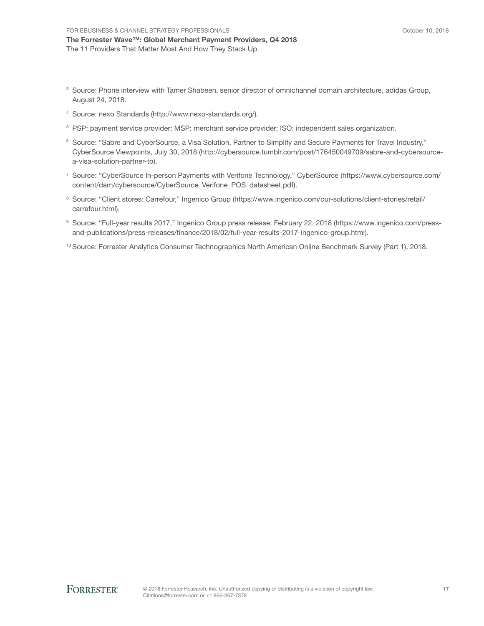The Forrester Wave™: Global Merchant Payment Providers, Q4 2018 The 11 Providers That Matter Most And How They Stack Up

- 3 Source: Phone interview with Tamer Shabeen, senior director of omnichannel domain architecture, adidas Group, August 24, 2018.
- 4 Source: nexo Standards (http://www.nexo-standards.org/).
- <sup>5</sup> PSP: payment service provider; MSP: merchant service provider; ISO: independent sales organization.
- 6 Source: "Sabre and CyberSource, a Visa Solution, Partner to Simplify and Secure Payments for Travel Industry," CyberSource Viewpoints, July 30, 2018 (http://cybersource.tumblr.com/post/176450049709/sabre-and-cybersourcea-visa-solution-partner-to).
- 7 Source: "CyberSource In-person Payments with Verifone Technology," CyberSource (https://www.cybersource.com/ content/dam/cybersource/CyberSource\_Verifone\_POS\_datasheet.pdf).
- 8 Source: "Client stores: Carrefour," Ingenico Group (https://www.ingenico.com/our-solutions/client-stories/retail/ carrefour.html).
- 9 Source: "Full-year results 2017," Ingenico Group press release, February 22, 2018 (https://www.ingenico.com/pressand-publications/press-releases/finance/2018/02/full-year-results-2017-ingenico-group.html).
- <sup>10</sup> Source: Forrester Analytics Consumer Technographics North American Online Benchmark Survey (Part 1), 2018.